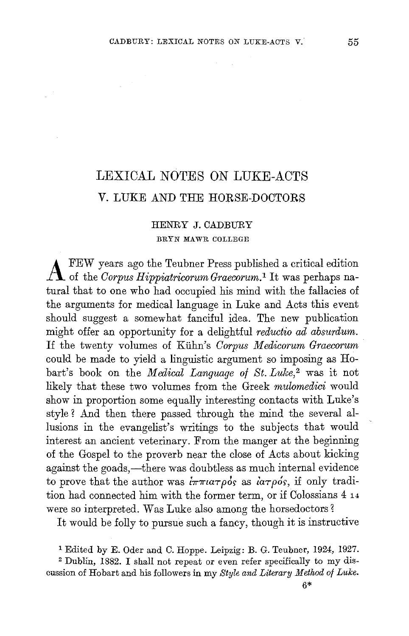# LEXICAL NOTES ON LUKE-ACTS V. LUKE AND THE HORSE-DOCTORS

## HENRY J. CADBURY BRYN MAWR COLLEGE

A FEW years ago the Teubner Press published a critical edition<br>of the *Corpus Hippiatricorum Graecorum*.<sup>1</sup> It was perhaps natural that to one who had occupied his mind with the fallacies of the arguments for medical language in Luke and Acts this event should suggest a somewhat fanciful idea. The new publication might offer an opportunity for a delightful *reductio* ad *absurdum.*  If the twenty volumes of Kühn's Corpus Medicorum Graecorum could be made to yield a linguistic argument so imposing as Hobart's book on the *Medical Language of St. Luke*,<sup>2</sup> was it not likely that these two volumes from the Greek *mulomedici* would show in proportion some equally interesting contacts with Luke's style? And then there passed through the mind the several allusions in the evangelist's writings to the subjects that would interest an ancient veterinary. From the manger at the beginning of the Gospel to the proverb near the close of Acts about kicking against the goads,-there was doubtless as much internal evidence to prove that the author was  $i\pi\pi\mu\sigma\rho\dot{\sigma}$  as  $i\alpha\tau\rho\dot{\sigma}$ , if only tradition had connected him with the former term, or if Colossians 4 14 were so interpreted. Was Luke also among the horsedoctors?

It would be folly to pursue such a fancy, though it is instructive

1 Edited by E. Oder and C. Hoppe. Leipzig: B. G. Teubner, 1924, 1927. 2 Dublin, 1882. I shall not repeat or even refer specifically to my dis-

cussion of Hobart and his followers in my *Style and Literary Method of Luke.*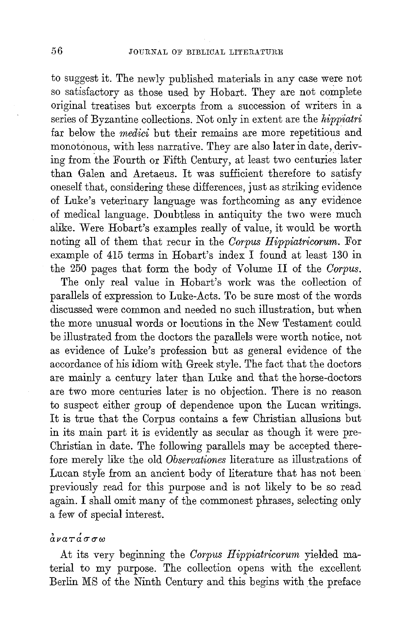to suggest it. The newly published materials in any case were not so satisfactory as those used by Hobart. They are not complete original treatises but excerpts from a succession of writers in a series of Byzantine collections. Not only in extent are the *hippiatri*  far below the *medici* but their remains are more repetitious and monotonous, with less narrative. They are also later in date, deriving from the Fourth or Fifth Century, at least two centuries later than Galen and Aretaeus. It was sufficient therefore to satisfy oneself that, considering these differences, just as striking evidence of Luke's veterinary language was forthcoming as any evidence of medical language. Doubtless in antiquity the two were much alike. Were Hobart's examples really of value, it would be worth noting all of them that recur in the *Corpus Hippiatricorum*. For example of 415 terms in Hobart's index I found at least 130 in the 250 pages that form the body of Volume II of the *Corpus.* 

The only real value in Hobart's work was the collection of parallels of expression to Luke-Acts. To be sure most of the words discussed were common and needed no such illustration, but when the more unusual words or locutions in the New Testament could be illustrated from the doctors the parallels were worth notice, not as evidence of Luke's profession but as general evidence of the accordance of his idiom with Greek style. The fact that the doctors are mainly a century later than Luke and that the horse-doctors are two more centuries later is no objection. There is no reason to suspect either group of dependence upon the Lucan writings. It is true that the Corpus contains a few Christian allusions but in its main part it is evidently as secular as though it were pre-Christian in date. The following parallels may be accepted therefore merely like the old *Observationes* literature as illustrations of Lucan style from an ancient body of literature that has not been previously read for this purpose and is not likely to be so read again. I shall omit many of the commonest phrases, selecting only a few of special interest.

#### $\dot{a}$ *va* $\tau$ *á* $\sigma$  $\sigma$ *ω*

At its very beginning the *Corpus Hippiatricorum* yielded material to my purpose. The collection opens with the excellent Berlin MS of the Ninth Century and this begins with the preface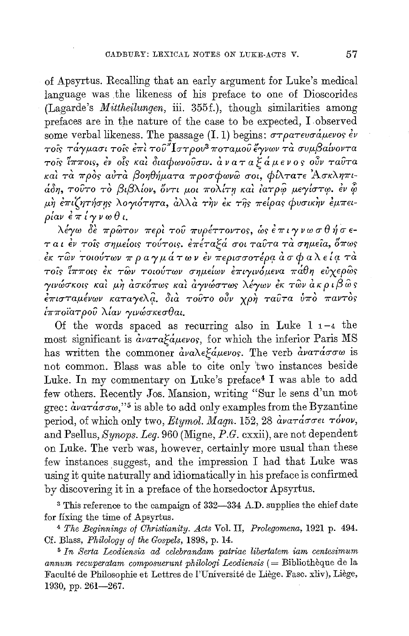of Apsyrtus. Recalling that an early argument for Luke's medical language was the likeness of his preface to one of Dioscorides (Lagarde's *Mittheilungen*, iii. 355f.), though similarities among prefaces are in the nature of the case to be expected, I observed some verbal likeness. The passage (I. 1) begins:  $\sigma\tau\rho\alpha\tau\epsilon\nu\sigma\alpha\mu\epsilon\nu\sigma s\epsilon\nu$ τοις τάγμασι τοις έπι του Ιστρου<sup>3</sup> ποταμου έγνων τα συμβαίνοντα τοίς ίπποις, έν οίς και διαφωνούσιν. αναταξάμενος ούν ταύτα καί τα πρός αύτα βοηθήματα προσφωνώ σοι, φίλτατε Άσκληπιάδη, τούτο το βιβλίον, όντι μοι πολίτη και ιατρώ μεγίστω. εν φ μη επιζητήσης λογιότητα, άλλα την έκ της πείρας φυσικήν έμπει- $\rho \acute{i}$ av  $\acute{\epsilon} \pi i \gamma \nu \omega \theta \iota$ .

λέγω δε πρώτον περί του πυρέττοντος, ως έπιγνωσθήσεται έν τοίς σημείοις τούτοις. επέταξά σοι ταύτα τα σημεία, όπως έκ τῶν τοιούτων πραγμάτων ἐν περισσοτέρα ἀσφαλεία τὰ τοίς ίπποις έκ των τοιούτων σημείων επιγινόμενα πάθη εύχερως γινώσκοις καὶ μὴ ἀσκόπως καὶ ἀγνώστως λέγων ἐκ τῶν ἀκριβῶς έπισταμένων καταγελά, διά τούτο ούν χρή ταύτα ύπό παντός ίπποϊατρού λίαν γινώσκεσθαι.

Of the words spaced as recurring also in Luke  $11-4$  the most significant is  $\alpha \nu \alpha \tau \alpha \zeta \alpha \mu \epsilon \nu \sigma s$ , for which the inferior Paris MS has written the commoner  $\frac{\partial v}{\partial x} \in \mathcal{E}$  aperos. The verb  $\frac{\partial v}{\partial x} \cdot \frac{\partial v}{\partial y} \cdot \frac{\partial v}{\partial y}$  is not common. Blass was able to cite only 'two instances beside Luke. In my commentary on Luke's preface<sup>4</sup> I was able to add few others. Recently Jos. Mansion, writing "Sur le sens d'un mot grec:  $\frac{d}{d} \alpha \frac{\pi d}{d} \sigma \sigma \omega$ ,"<sup>5</sup> is able to add only examples from the Byzantine period, of which only two, *Etymol*, *Magn.* 152, 28  $\frac{\partial}{\partial y}a + a\frac{\partial}{\partial z}a$   $\frac{\partial}{\partial y}a$ , and Psellus, Synops. Leq. 960 (Migne, P.G. cxxii), are not dependent on Luke. The verb was, however, certainly more usual than these few instances suggest, and the impression I had that Luke was using it quite naturally and idiomatically in his preface is confirmed by discovering it in a preface of the horsed octor Apsyrtus.

<sup>3</sup> This reference to the campaign of 332-334 A.D. supplies the chief date for fixing the time of Apsyrtus.

<sup>4</sup> The Beginnings of Christianity. Acts Vol. II, Prolegomena, 1921 p. 494. Cf. Blass, Philology of the Gospels, 1898, p. 14.

<sup>5</sup> In Serta Leodiensia ad celebrandam patriae libertatem iam centesimum annum recuperatam composuerunt philologi Leodiensis (= Bibliothèque de la Faculté de Philosophie et Lettres de l'Université de Liège. Fasc. xliv), Liège, 1930, pp. 261-267.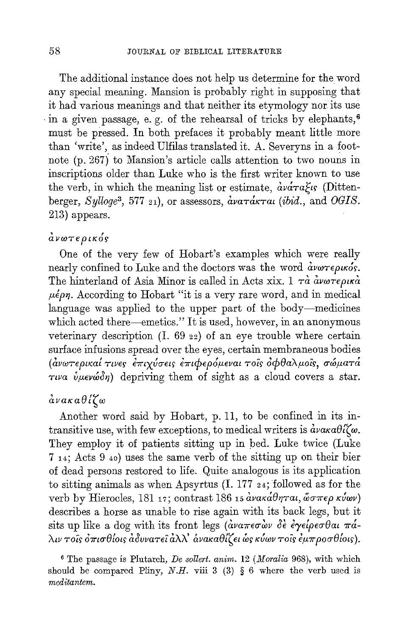The additional instance does not help us determine for the word any special meaning. Mansion is probably right in supposing that it had various meanings and that neither its etymology nor its use in a given passage, e. g. of the rehearsal of tricks by elephants,<sup>6</sup> must be pressed. In both prefaces it probably meant little more than 'write', as indeed Ulfilas translated it. A. Severyns in a footnote  $(p. 267)$  to Mansion's article calls attention to two nouns in inscriptions older than Luke who is the first writer known to use the verb, in which the meaning list or estimate,  $\frac{\partial \nu}{\partial \tau} a \xi G$ . (Dittenberger, *Sylloge*<sup>3</sup>, 577 <sub>21</sub>), or assessors,  $\dot{a}v\alpha\tau\dot{a}k\tau a\iota$  (*ibid.*, and *OGIS.* 213) appears.

#### *avwreptKoc;*

One of the very few of Hobart's examples which were really nearly confined to Luke and the doctors was the word  $\partial x^{\mu}$ The hinterland of Asia Minor is called in Acts xix. 1 *Ta avwrepuca*   $\mu \epsilon \rho \eta$ . According to Hobart "it is a very rare word, and in medical language was applied to the upper part of the body-medicines which acted there-emetics." It is used, however, in an anonymous veterinary description (I. 69 22) of an eye trouble where certain surface infusions spread over the eyes, certain membraneous bodies  $(a$ νωτερικαί τινες επιχύσεις επιφερόμεναι τοίς οφθαλμοίς, σώματά *τινα ύμενώδη*) depriving them of sight as a cloud covers a star.

# $a$ vaka $\theta$ *i* $\alpha$

Another word said by Hobart, p. 11, to be confined in its intransitive use, with few exceptions, to medical writers is  $\partial \alpha \alpha \alpha \theta \partial \alpha$ . They employ it of patients sitting up in bed. Luke twice (Luke 7 1-1; Acts 9 4o) uses the same verb of the sitting up on their bier of dead persons restored to life. Quite analogous is its application to sitting animals as when Apsyrtus  $(I. 17724;$ ; followed as for the verb by Hierocles, 181 17; contrast 186 15 ανακάθηται, ώσπερ κύων) describes a horse as unable to rise again with its back legs, but it sits up like a dog with its front legs ( *ava1rerrwv* J€ *€"/efperrem* 7ra*λιν τοῖς ὀπισθίοις ἀδυνατεῖ ἀλλ' ἀνακαθίζει ως κύων τοῖς ἐμπροσθίοις*).

6 The passage is Plutarch, *De sollert. anim.* 12 *(Moralia* 968), with which should be compared Pliny, N.H. viii 3 (3)  $\S$  6 where the verb used is *meditantem.*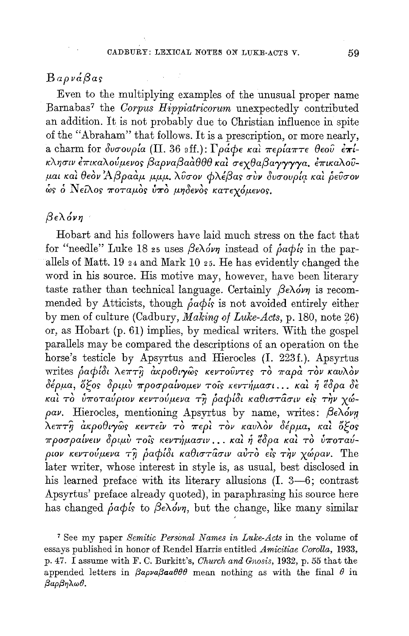# $Ba\rho\nu\acute{a}\beta a$ s

Even to the multiplying examples of the unusual proper name Barnabas<sup>7</sup> the Corpus Hippiatricorum unexpectedly contributed an addition. It is not probably due to Christian influence in spite of the "Abraham" that follows. It is a prescription, or more nearly, a charm for δυσουρία (II. 36 sff.): Γράφε και περίαπτε θεού έπίκλησιν έπικαλούμενος βαρναβαάθθθ και σεχθαβαγγγγα, έπικαλούμαι και θεόν Αβραάμ μμμ. λύσον φλέβας συν δυσουρία και ρεύσον ώς ο Νείλος ποταμός ύπό μηδενός κατεχόμενος.

## $\beta \epsilon \lambda \omega \eta$

Hobart and his followers have laid much stress on the fact that for "needle" Luke 18 25 uses  $\beta \in \lambda_0$  instead of  $\beta \in \alpha_0$  in the parallels of Matt. 19 24 and Mark 10 25. He has evidently changed the word in his source. His motive may, however, have been literary taste rather than technical language. Certainly  $\beta \epsilon \lambda \acute{o} \nu \eta$  is recommended by Atticists, though  $\phi a \phi' b$  is not avoided entirely either by men of culture (Cadbury, Making of Luke-Acts, p. 180, note 26) or, as Hobart (p. 61) implies, by medical writers. With the gospel parallels may be compared the descriptions of an operation on the horse's testicle by Apsyrtus and Hierocles (I. 223f.). Apsyrtus writes ραφίδι λεπτη άκροθιγώς κεντούντες το παρά τον καυλον δέρμα, όξος δριμύ προσραίνομεν τοίς κεντήμασι... και ή έδρα δε και το υποταύριον κεντούμενα τη ραφίδι καθιστάσιν είς την χώ- $\rho$ av. Hierocles, mentioning Apsyrtus by name, writes:  $\beta \epsilon \lambda \omega \eta$ .<br>λεπτη ακροθιγώς κεντείν το περί τον καυλον δέρμα, και όξος προσραίνειν δριμύ τοις κεντήμασιν... και ή έδρα και το ύποταύριον κεντούμενα τη ραφίδι καθιστάσιν αύτο είς την χώραν. The later writer, whose interest in style is, as usual, best disclosed in his learned preface with its literary allusions  $(I. 3-6;$  contrast Apsyrtus' preface already quoted), in paraphrasing his source here has changed  $\dot{\rho}a\phi l_s$  to  $\beta\epsilon\lambda\dot{\rho}\eta$ , but the change, like many similar

<sup>7</sup> See my paper Semitic Personal Names in Luke-Acts in the volume of essays published in honor of Rendel Harris entitled Amicitiae Corolla, 1933, p. 47. I assume with F. C. Burkitt's, Church and Gnosis, 1932, p. 55 that the appended letters in  $\beta$ apva $\beta$ aa $\theta$  $\theta$  mean nothing as with the final  $\theta$  in βαρβηλωθ.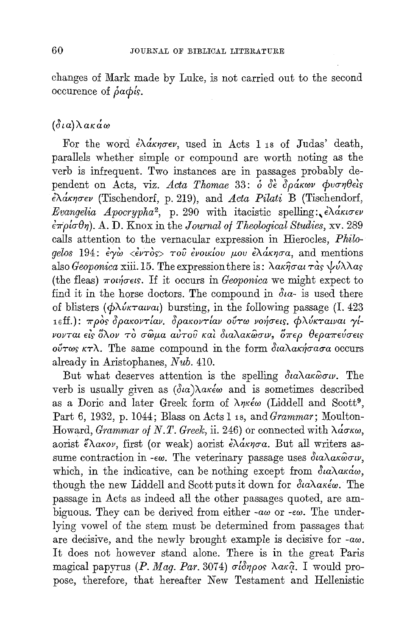changes of Mark made by Luke, is not carried out to the second occurence of  $\dot{\rho}a\phi\dot{\iota}s$ .

## $(\delta \iota \alpha) \lambda \alpha \kappa \alpha \omega$

For the word  $\epsilon \lambda \alpha \kappa \eta \sigma \epsilon \nu$ , used in Acts 1 18 of Judas' death, parallels whether simple or compound are worth noting as the verb is infrequent. Two instances are in passages probably dependent on Acts, viz. Acta Thomae 33:  $\delta$  δε δράκων φυσηθείς έλάκησεν (Tischendorf, p. 219), and Acta Pilati B (Tischendorf, Evangelia Apocrypha<sup>2</sup>, p. 290 with itacistic spelling:  $\epsilon \lambda d\kappa \sigma \epsilon \nu$  $\epsilon \pi \rho l \sigma \theta \eta$ ). A. D. Knox in the Journal of Theological Studies, xv. 289 calls attention to the vernacular expression in Hierocles, Philogelos 194: έγω <εντός του ενοικίου μου ελάκησα, and mentions also Geoponica xiii. 15. The expression there is:  $\lambda \alpha \kappa \hat{\eta} \sigma \alpha \iota \tau \dot{\alpha} s \psi \dot{\nu} \lambda \lambda \alpha s$ (the fleas)  $\pi o$ *unctional*. If it occurs in *Geoponica* we might expect to find it in the horse doctors. The compound in  $\partial a$ - is used there of blisters ( $\phi \lambda \hat{\nu} \kappa \tau \hat{a} \nu \hat{a}$ ) bursting, in the following passage (I. 423 16ff.): πρός δρακοντίαν. δρακοντίαν ούτω νοήσεις. φλύκταιναι γίνονται είς όλον το σώμα αύτου και διαλακώσιν, όπερ θεραπεύσεις  $o\check{\nu}\tau\omega s\kappa\tau\lambda$ . The same compound in the form  $\delta\iota a\lambda\alpha\kappa\eta\sigma\alpha\sigma a$  occurs already in Aristophanes, Nub. 410.

But what deserves attention is the spelling  $\partial u \lambda \alpha \kappa \hat{\omega} \sigma \nu$ . The verb is usually given as  $(\delta a) \lambda a \kappa \epsilon \omega$  and is sometimes described as a Doric and later Greek form of  $\lambda \eta \kappa \epsilon \omega$  (Liddell and Scott<sup>9</sup>, Part 6, 1932, p. 1044; Blass on Acts 1 18, and Grammar; Moulton-Howard, Grammar of N.T. Greek, ii. 246) or connected with  $\lambda d\sigma \kappa \omega$ , aorist έλακον, first (or weak) aorist ελάκησα. But all writers assume contraction in - $\epsilon\omega$ . The veterinary passage uses  $\partial u \lambda \alpha \kappa \hat{\omega} \sigma \nu$ , which, in the indicative, can be nothing except from  $\partial u \partial x \partial x$ though the new Liddell and Scott puts it down for dialaxéw. The passage in Acts as indeed all the other passages quoted, are ambiguous. They can be derived from either - $a\omega$  or - $\epsilon\omega$ . The underlying vowel of the stem must be determined from passages that are decisive, and the newly brought example is decisive for  $-a\omega$ . It does not however stand alone. There is in the great Paris magical papyrus (P. Maq. Par. 3074)  $\sigma l \delta \eta \rho \rho s \lambda \alpha \kappa \hat{\alpha}$ . I would propose, therefore, that hereafter New Testament and Hellenistic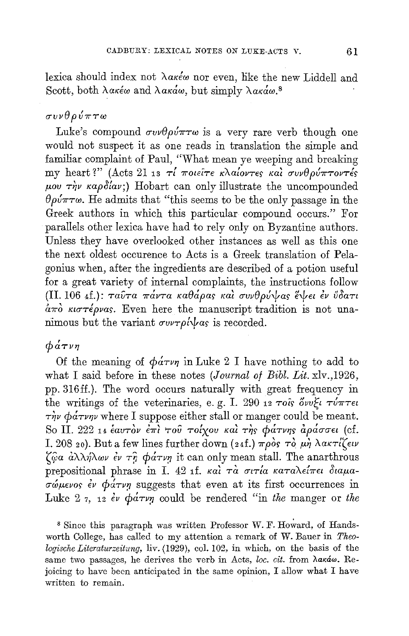lexica should index not  $\lambda a\kappa \epsilon \omega$  nor even, like the new Liddell and Scott, both  $\lambda$ akéw and  $\lambda$ akáw, but simply  $\lambda$ akáw.<sup>8</sup>

# $\sigma v v \theta \rho v' \pi \tau \omega$

Luke's compound  $\sigma\nu\theta\rho\dot{\nu}\pi\tau\omega$  is a very rare verb though one would not suspect it as one reads in translation the simple and familiar complaint of Paul, "What mean ye weeping and breaking my heart?" (Acts 21 13 τι ποιείτε κλαίοντες και συνθρύπτοντές  $\mu$ ov  $\tau \dot{\eta}$ v  $\kappa a \rho \delta' a \nu$ ;) Hobart can only illustrate the uncompounded  $\theta \rho \nu \pi \tau \omega$ . He admits that "this seems to be the only passage in the Greek authors in which this particular compound occurs." For parallels other lexica have had to rely only on Byzantine authors. Unless they have overlooked other instances as well as this one the next oldest occurence to Acts is a Greek translation of Pelagonius when, after the ingredients are described of a potion useful for a great variety of internal complaints, the instructions follow (II. 106 4f.): *ταύτα πάντα καθάρας και συνθρύψας* έψει εν ύδατι  $a\pi\delta$   $\kappa\sigma\tau\epsilon\rho\nu\alpha\varsigma$ . Even here the manuscript tradition is not unanimous but the variant  $\sigma v \nu \tau \rho / \sqrt{\alpha_s}$  is recorded.

### $\phi$ *a* $\tau$ *v* $\eta$

Of the meaning of  $\phi a \to r \nu \eta$  in Luke 2 I have nothing to add to what I said before in these notes *(Journal of Bibl. Lit.* xlv.,1926, pp. 316ff.). The word occurs naturally with great frequency in the writings of the veterinaries, e.g. I. 290 12  $\tau o\hat{i} s \stackrel{\partial}{\partial} v v \xi \iota \tau \nu \pi \tau \epsilon \iota$  $\tau \dot{\eta}$   $\phi \dot{\alpha} \tau \nu \eta \nu$  where I suppose either stall or manger could be meant. So II. 222 14 εαυτον επι του τοίχου και της φάτνης αράσσει (cf. I. 208 20). But a few lines further down (24f.)  $\pi \rho \delta s \tau \delta \mu \eta \lambda \alpha \kappa \tau \iota \zeta \epsilon \nu$  $\int \hat{\varphi} a \, d\lambda \hat{\eta} \hat{\lambda} \omega \nu \, \dot{\epsilon} \nu \, \tau \hat{\eta} \, \phi \, d\tau \nu \eta$  it can only mean stall. The anarthrous prepositional phrase in I. 42 1f. *kai rà σιτία καταλείπει διαμαo-wp.r;voc;* €v *¢aTv'J* suggests that even at its first occurrences in Luke 2 7, 12 €v *¢aTv'J* could be rendered "in *the* manger or *the* 

<sup>8</sup> Since this paragraph was written Professor W. F. Howard, of Handsworth College, has called to my attention a remark of W. Bauer in *Theologische Literaturzeitung,* liv. (1929), col. 102, in which, on the basis of the same two passages, he derives the verb in Acts, *loc. cit.* from  $\lambda$ akáw. Rejoicing to have been anticipated in the same opinion, I allow what I have written to remain.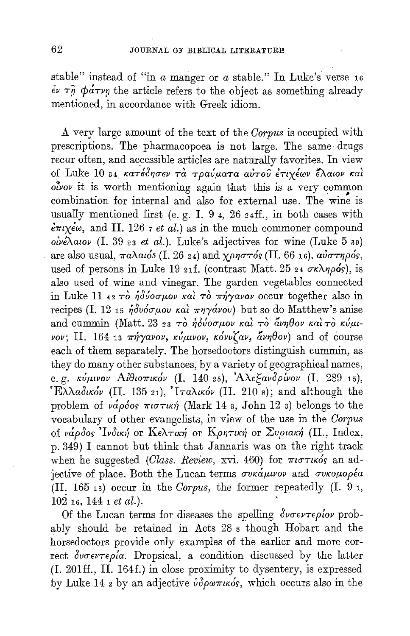stable" instead of "in *a* manger or *a* stable." In Luke's verse 16 *f:v* T~ *¢aTV!J* the article refers to the object as something already mentioned, in accordance with Greek idiom.

A very large amount of the text of the *Corpus* is occupied with prescriptions. The pharmacopoea is not large. The same drugs recur often, and accessible articles are naturally favorites. In view of Luke 10 34 κατέδησεν τα τραύματα αυτού ετιχέων έλαιον και  $o\vec{l}$ *vov* it is worth mentioning again that this is a very common combination for internal and also for external use. The wine is usually mentioned first (e.g. I.  $9, 4, 26, 24$ ff., in both cases with *επιχέω*, and II. 126 *τ et al.*) as in the much commoner compound  $o\dot{v}e\lambda a\dot{\omega}$  (I. 39 23 *et al.*). Luke's adjectives for wine (Luke 5 39) are also usual,  $\pi a\lambda a\omega'$ s (I. 26 24) and  $\gamma \rho \eta \sigma \tau \omega'$ s (II. 66 16).  $\alpha \nu \sigma \tau \eta \rho \omega'$ , used of persons in Luke 19 21f. (contrast Matt. 25 24  $\sigma \kappa \lambda \eta \rho \delta s$ ), is also used of wine and vinegar. The garden vegetables connected in Luke 11  $\overline{42}$   $\overline{70}$   $\eta$  $\delta\psi$ *o* $\sigma\mu\omega\chi$  *Kat*  $\tau\delta$   $\pi\eta\gamma\alpha\nu\omega\chi$  occur together also in recipes (I. 12 15  $\eta \delta \nu \delta \sigma \mu \nu \kappa a \hat{i} \pi \eta \gamma \hat{\alpha} \nu \nu$ ) but so do Matthew's anise and cummin (Matt. 23 23 Tò ήδύοσμον και Το άνηθον και Το κύμι*vov*; II. 164 13 πήγανον, κύμινον, κόνυζαν, άνηθον) and of course each of them separately. The horsedoctors distinguish cummin, as they do many other substances, by a variety of geographical names, e. g. κύμινον Αίθιοπικόν (Ι. 140 25), 'Αλεξανδρίνον (Ι. 289 15),  $'E\lambda\lambda a\delta\mu\sigma\nu$  (II. 135 21),  $'I\tau a\lambda\mu\sigma\nu$  (II. 210 s); and although the problem of  $\nu \dot{\alpha} \rho \dot{\delta} \circ \pi \iota \sigma \tau \iota \kappa \dot{\eta}$  (Mark 14 3, John 12 3) belongs to the vocabulary of other evangelists, in view of the use in the *Corpus*  of νάρδος 'Ινδική οτ Κελτική οτ Κρητική οτ Συριακή (II., Index, p. 349) I cannot but think that Jannaris was on the right track when he suggested *(Class. Review*, xvi. 460) for  $\pi i \sigma \tau \kappa \dot{\delta} s$  an adjective of place. Both the Lucan terms  $\sigma v \kappa \dot{\alpha} \mu \nu \sigma \nu$  and  $\sigma v \kappa o \mu o \rho \dot{\epsilon} \alpha$ (II. 165 1s) occur in the *Corpus,* the former repeatedly (I. 9 1,  $102$  16, 144 1 *et al.*).

Of the Lucan terms for diseases the spelling  $\partial v \sigma \epsilon \nu \tau \epsilon \rho i \sigma \nu$  probably should be retained in Acts 28 s though Hobart and the horsedoctors provide only examples of the earlier and more correct δυσεντερία. Dropsical, a condition discussed by the latter (I. 201££., II. 164£.) in close proximity to dysentery, is expressed by Luke 14 *z* by an adjective *υδρωπικός*, which occurs also in the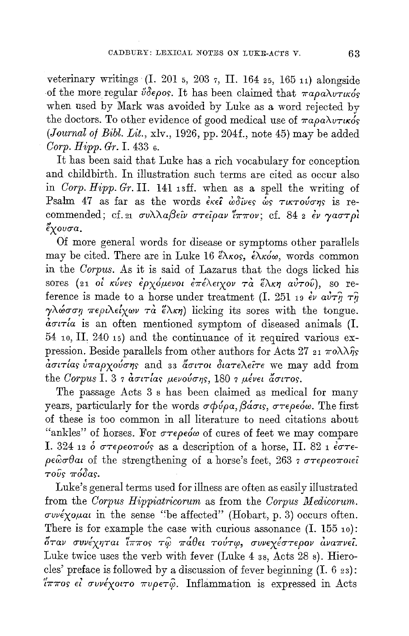veterinary writings (I. 201 5, 203 7, II. 164 25, 165 11) alongside of the more regular  $\mathring{v}$  depos. It has been claimed that  $\pi a\rho a\lambda v\tau u\kappa\delta s$ when used by Mark was avoided by Luke as a word rejected by the doctors. To other evidence of good medical use of  $\pi a \rho a \lambda \nu \tau \mu \sigma S$ *(Journal of Bibl. Lit.,* xlv., 1926, pp. 204£., note 45) may be added *Corp. Hipp. Gr.* I. 433 6.

It has been said that Luke has a rich vocabulary for conception and childbirth. In illustration such terms are cited as occur also in *Corp. Hipp. Gr.* II. 141 13ff. when as a spell the writing of Psalm 47 as far as the words  $\epsilon \kappa \epsilon \hat{i}$   $\omega \delta \hat{i} \nu \epsilon \hat{j}$   $\omega \delta \hat{k} \nu \epsilon \hat{k}$   $\omega \delta \hat{i} \nu \epsilon \hat{j}$  is recommended; cf. 21  $\sigma v \lambda \lambda a \beta \epsilon \hat{i} v \sigma \tau \epsilon \hat{i} \rho a v \hat{i} \tau \pi \sigma v$ ; cf. 84 2  $\dot{\epsilon} v \gamma a \sigma \tau \rho \hat{i}$  $\tilde{\epsilon}_{\chi}$ ov $\sigma a$ .

Of more general words for disease or symptoms other parallels may be cited. There are in Luke 16  $\epsilon \lambda \kappa \omega$ ,  $\epsilon \lambda \kappa \omega$ , words common in the *Corpus.* As it is said of Lazarus that the dogs licked his sores (21 ol  $\kappa \nu \nu \epsilon$  epxomevol e $\pi \epsilon \lambda \epsilon \nu \nu \nu \tau \alpha$  e $\lambda \kappa \eta$  avTov), so reference is made to a horse under treatment (I. 251 19  $\epsilon \nu$  aυτ $\hat{\eta}$  τ $\hat{\eta}$  $\gamma\lambda\omega\sigma\sigma\eta$   $\pi\epsilon\rho\iota\lambda\epsilon\iota\chi\omega\nu$   $\tau\alpha$   $\epsilon\lambda\kappa\eta$ ) licking its sores with the tongue.  $a$ *o* $\tau$ ria is an often mentioned symptom of diseased animals (I. 54 10, II. 240 15) and the continuance of it required various expression. Beside parallels from other authors for Acts 27  $_{21}$   $\pi$ o $\lambda \lambda \hat{\eta}$ s  $\dot{a}$ σιτίας ύπαρχούσης and 33 άσιτοι διατελείτε we may add from  $the \textit{Corpus}$  Ι. 3 7  $\alpha$ σιτίας μενούσης, 180 7 μένει άσιτος.

The passage Acts 3 8 has been claimed as medical for many years, particularly for the words  $\sigma\phi\dot{\nu}\rho a$ ,  $\beta\dot{a}\sigma\dot{\nu}$ ,  $\sigma\tau\epsilon\rho\epsilon\dot{\sigma}\omega$ . The first of these is too common in all literature to need citations about "ankles" of horses. For  $\sigma\tau\epsilon\rho\epsilon\acute{o}\omega$  of cures of feet we may compare I. 324 12  $\delta$   $\sigma\tau\epsilon\rho\epsilon\sigma\tau\omega\zeta$  as a description of a horse, II. 82 1  $\epsilon\sigma\tau\epsilon$ - $\rho \epsilon \hat{\omega} \sigma \theta \alpha \iota$  of the strengthening of a horse's feet, 263 7  $\sigma \tau \epsilon \rho \epsilon \iota \sigma \tau \epsilon \hat{\iota}$  $\tau$ ούς  $\pi$ όδας.

Luke's general terms used for illness are often as easily illustrated from the *Corpus Hippiatricorum* as from the *Corpus Medicorum*. συνέχομαι in the sense "be affected" (Hobart, p. 3) occurs often. There is for example the case with curious assonance  $(I. 155 10)$ : δταν συνέχηται 'ίππος τώ πάθει τούτω, συνεχέστερον αναπνεί. Luke twice uses the verb with fever (Luke 4 38, Acts 28 s). Hierocles' preface is followed by a discussion of fever beginning (I. 6 23) :  $i\pi\pi$ os el συνέχοιτο  $\pi\nu\rho\epsilon\tau\hat{\varphi}$ . Inflammation is expressed in Acts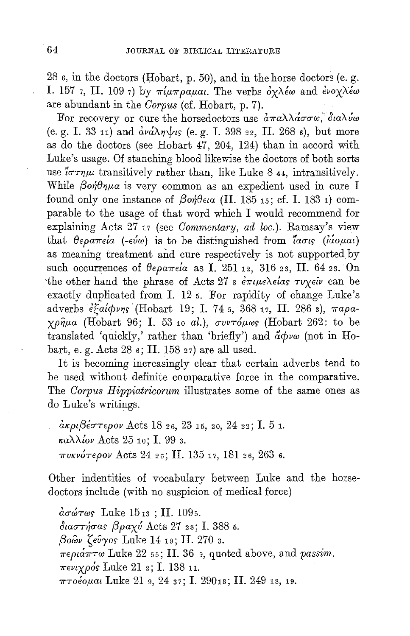28 6, in the doctors (Hobart, p. 50), and in the horse doctors (e. g. I. 157 7, II. 109 7) by  $\pi'_\mu\pi_\rho\alpha_\mu\alpha_l$ . The verbs  $\partial_\chi\chi'_{\epsilon\omega}$  and  $\partial_\gamma\chi'_{\epsilon\omega}$ are abundant in the *Corpus* (cf. Hobart, p. 7).

For recovery or cure the horsedoctors use  $\partial \pi a \lambda \lambda \partial \sigma \sigma \omega$ ,  $\partial a \lambda \nu \omega$ (e. g. I. 33 11) and  $\frac{\partial \nu}{\partial \lambda} \eta \psi$  (e. g. I. 398 22, II. 268 6), but more as do the doctors (see Hobart 47, 204, 124) than in accord with Luke's usage. Of stanching blood likewise the doctors of both sorts use  $i\sigma\tau\eta\mu\tau$  transitively rather than, like Luke 8  $\mu\tau$ , intransitively. While  $\beta o \eta \theta \eta \mu a$  is very common as an expedient used in cure I found only one instance of  $\beta o_{\theta} \theta_{\epsilon \mu}$  (II. 185 15; cf. I. 183 1) comparable to the usage of that word which I would recommend for explaining Acts 27 17 (see *Commentary, ad loc.*). Ramsay's view that  $\theta \epsilon \rho a \pi \epsilon a$  (- $\epsilon \nu \omega$ ) is to be distinguished from *laxis* (*iaouai*) as meaning treatment and cure respectively is not supported by such occurrences of  $\theta \epsilon \rho a \pi \epsilon' a$  as I. 251 12, 316 23, II. 64 23. On the other hand the phrase of Acts 27 3  $\epsilon \pi \mu e \lambda \epsilon / a s$  *Tvxeiv* can be exactly duplicated from I. 12 5. For rapidity of change Luke's adverbs *<sup>2</sup>*cai $\phi$ *vns* (Hobart 19; I. 74 5, 368 17, II. 286 3),  $\pi$ apa- $\chi \rho \hat{\eta}$ μα (Hobart 96; I. 53 10 al.), *συντόμως* (Hobart 262: to be translated 'quickly,' rather than 'briefly') and  $\ddot{a}\phi v\omega$  (not in Hobart, e. g. Acts 28  $\epsilon$ ; II. 158 27) are all used.

It is becoming increasingly clear that certain adverbs tend to be used without definite comparative force in the comparative. The *Corpus Hippiatricorum* illustrates some of the same ones as do Luke's writings.

*aKpt/3ea-TEpov* Acts 18 26, 23 15, 20, 24 22; I. 51. *Ka'AI\.Iov* Acts 25 1o; I. 99 3. *7rVKVoTEpov* Acts 24 26; II. 135 17, 181 26, 263 6.

Other indentities of vocabulary betweeu Luke and the horsedoctors include (with no suspicion of medical force)

 $a\sigma\omega\tau\omega s$  Luke 1513 ; II. 1095.  $\delta$ iao $\tau \gamma \sigma$ as  $\beta \rho \alpha \chi$ *ú* Acts 27 2s; I. 388 5. *βοών ζεῦγος Luke 14 19; II. 270 3.*  $\pi \epsilon \rho \mu \alpha \pi \tau \omega$  Luke 22 55; II. 36 9, quoted above, and *passim*. *7revtxp6c:* Luke 21 2; I. 138 11. *7rToeofJ-at* Luke 21 9, 24 37; I. 29013; II. 249 1s, 19.